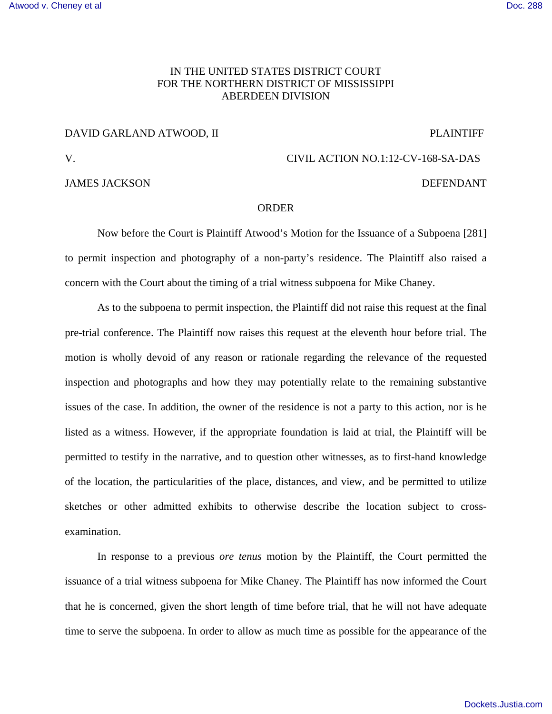## IN THE UNITED STATES DISTRICT COURT FOR THE NORTHERN DISTRICT OF MISSISSIPPI ABERDEEN DIVISION

## DAVID GARLAND ATWOOD, II PLAINTIFF

JAMES JACKSON DEFENDANT

## V. CIVIL ACTION NO.1:12-CV-168-SA-DAS

## ORDER

Now before the Court is Plaintiff Atwood's Motion for the Issuance of a Subpoena [281] to permit inspection and photography of a non-party's residence. The Plaintiff also raised a concern with the Court about the timing of a trial witness subpoena for Mike Chaney.

As to the subpoena to permit inspection, the Plaintiff did not raise this request at the final pre-trial conference. The Plaintiff now raises this request at the eleventh hour before trial. The motion is wholly devoid of any reason or rationale regarding the relevance of the requested inspection and photographs and how they may potentially relate to the remaining substantive issues of the case. In addition, the owner of the residence is not a party to this action, nor is he listed as a witness. However, if the appropriate foundation is laid at trial, the Plaintiff will be permitted to testify in the narrative, and to question other witnesses, as to first-hand knowledge of the location, the particularities of the place, distances, and view, and be permitted to utilize sketches or other admitted exhibits to otherwise describe the location subject to crossexamination.

In response to a previous *ore tenus* motion by the Plaintiff, the Court permitted the issuance of a trial witness subpoena for Mike Chaney. The Plaintiff has now informed the Court that he is concerned, given the short length of time before trial, that he will not have adequate time to serve the subpoena. In order to allow as much time as possible for the appearance of the